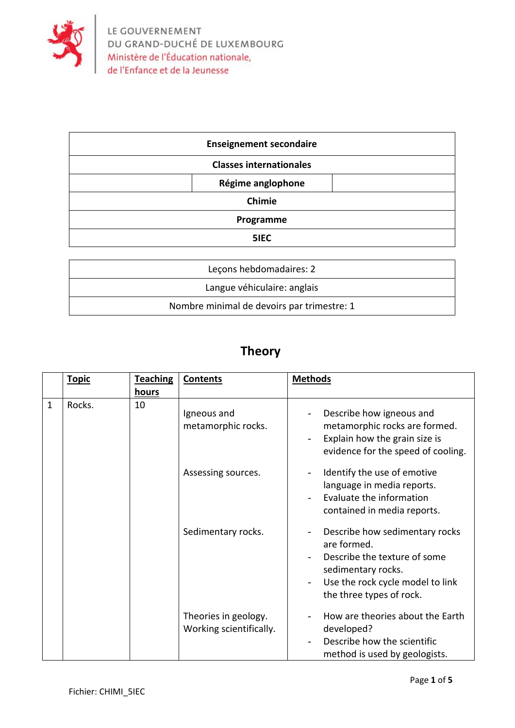

| <b>Enseignement secondaire</b> |                   |  |
|--------------------------------|-------------------|--|
| <b>Classes internationales</b> |                   |  |
|                                | Régime anglophone |  |
| Chimie                         |                   |  |
| Programme                      |                   |  |
| 5IEC                           |                   |  |
|                                |                   |  |
| Leçons hebdomadaires: 2        |                   |  |

| Lecons hebdomadaires: 2                    |  |
|--------------------------------------------|--|
| Langue véhiculaire: anglais                |  |
| Nombre minimal de devoirs par trimestre: 1 |  |

## **Theory**

|   | <b>Topic</b> | <b>Teaching</b> | <b>Contents</b>                                 | <b>Methods</b>                                                                                                                                                      |
|---|--------------|-----------------|-------------------------------------------------|---------------------------------------------------------------------------------------------------------------------------------------------------------------------|
|   |              | hours           |                                                 |                                                                                                                                                                     |
| 1 | Rocks.       | 10              | Igneous and<br>metamorphic rocks.               | Describe how igneous and<br>metamorphic rocks are formed.<br>Explain how the grain size is<br>evidence for the speed of cooling.                                    |
|   |              |                 | Assessing sources.                              | Identify the use of emotive<br>language in media reports.<br>Evaluate the information<br>contained in media reports.                                                |
|   |              |                 | Sedimentary rocks.                              | Describe how sedimentary rocks<br>are formed.<br>Describe the texture of some<br>sedimentary rocks.<br>Use the rock cycle model to link<br>the three types of rock. |
|   |              |                 | Theories in geology.<br>Working scientifically. | How are theories about the Earth<br>developed?<br>Describe how the scientific<br>method is used by geologists.                                                      |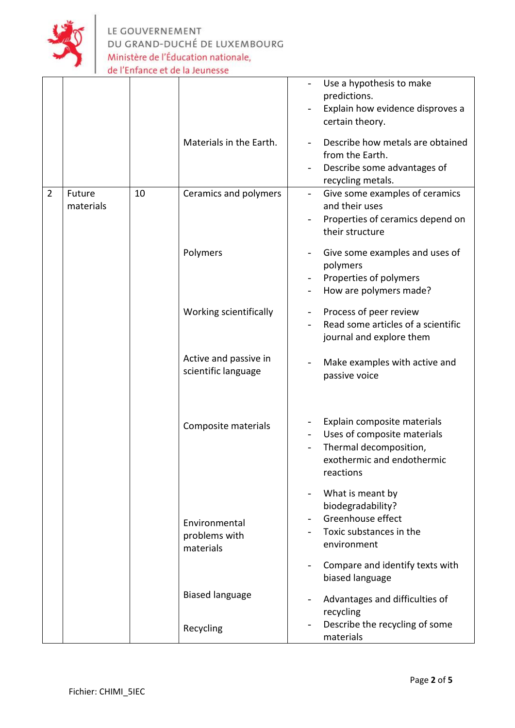

LE GOUVERNEMENT<br>DU GRAND-DUCHÉ DE LUXEMBOURG Ministère de l'Éducation nationale, de l'Enfance et de la Jeunesse

|                |                     |    | Materials in the Earth.                      | Use a hypothesis to make<br>predictions.<br>Explain how evidence disproves a<br>certain theory.<br>Describe how metals are obtained<br>from the Earth.<br>Describe some advantages of<br>recycling metals. |
|----------------|---------------------|----|----------------------------------------------|------------------------------------------------------------------------------------------------------------------------------------------------------------------------------------------------------------|
| $\overline{2}$ | Future<br>materials | 10 | Ceramics and polymers                        | Give some examples of ceramics<br>$\overline{\phantom{a}}$<br>and their uses<br>Properties of ceramics depend on<br>their structure                                                                        |
|                |                     |    | Polymers                                     | Give some examples and uses of<br>polymers<br>Properties of polymers<br>How are polymers made?                                                                                                             |
|                |                     |    | Working scientifically                       | Process of peer review<br>Read some articles of a scientific<br>journal and explore them                                                                                                                   |
|                |                     |    | Active and passive in<br>scientific language | Make examples with active and<br>passive voice                                                                                                                                                             |
|                |                     |    | Composite materials                          | Explain composite materials<br>Uses of composite materials<br>Thermal decomposition,<br>exothermic and endothermic<br>reactions                                                                            |
|                |                     |    | Environmental<br>problems with<br>materials  | What is meant by<br>biodegradability?<br>Greenhouse effect<br>Toxic substances in the<br>environment                                                                                                       |
|                |                     |    |                                              | Compare and identify texts with<br>biased language                                                                                                                                                         |
|                |                     |    | <b>Biased language</b>                       | Advantages and difficulties of<br>recycling                                                                                                                                                                |
|                |                     |    | Recycling                                    | Describe the recycling of some<br>materials                                                                                                                                                                |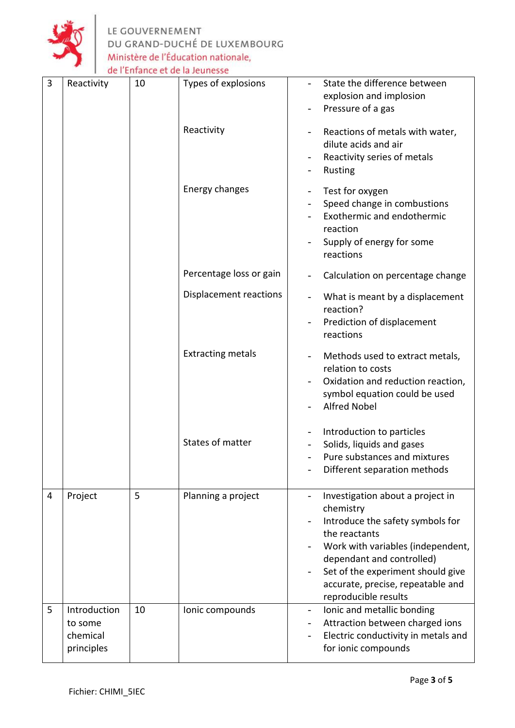

LE GOUVERNEMENT<br>DU GRAND-DUCHÉ DE LUXEMBOURG Ministère de l'Éducation nationale, de l'Enfance et de la Jeunesse

| $\overline{3}$ | Reactivity                                        | 10 | Types of explosions      | State the difference between<br>explosion and implosion<br>Pressure of a gas                                                                                                                                                                                           |
|----------------|---------------------------------------------------|----|--------------------------|------------------------------------------------------------------------------------------------------------------------------------------------------------------------------------------------------------------------------------------------------------------------|
|                |                                                   |    | Reactivity               | Reactions of metals with water,<br>dilute acids and air<br>Reactivity series of metals<br>Rusting                                                                                                                                                                      |
|                |                                                   |    | Energy changes           | Test for oxygen<br>Speed change in combustions<br>Exothermic and endothermic<br>reaction<br>Supply of energy for some<br>reactions                                                                                                                                     |
|                |                                                   |    | Percentage loss or gain  | Calculation on percentage change                                                                                                                                                                                                                                       |
|                |                                                   |    | Displacement reactions   | What is meant by a displacement<br>reaction?<br>Prediction of displacement<br>reactions                                                                                                                                                                                |
|                |                                                   |    | <b>Extracting metals</b> | Methods used to extract metals,<br>relation to costs<br>Oxidation and reduction reaction,<br>symbol equation could be used<br><b>Alfred Nobel</b>                                                                                                                      |
|                |                                                   |    | States of matter         | Introduction to particles<br>Solids, liquids and gases<br>Pure substances and mixtures<br>Different separation methods                                                                                                                                                 |
| 4              | Project                                           | 5  | Planning a project       | Investigation about a project in<br>chemistry<br>Introduce the safety symbols for<br>the reactants<br>Work with variables (independent,<br>dependant and controlled)<br>Set of the experiment should give<br>accurate, precise, repeatable and<br>reproducible results |
| 5              | Introduction<br>to some<br>chemical<br>principles | 10 | Ionic compounds          | Ionic and metallic bonding<br>$\overline{\phantom{a}}$<br>Attraction between charged ions<br>Electric conductivity in metals and<br>for ionic compounds                                                                                                                |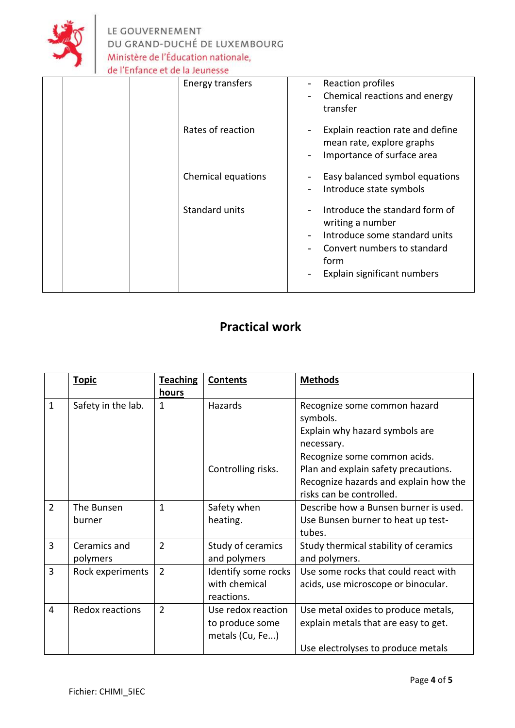

| Energy transfers   | Reaction profiles<br>Chemical reactions and energy<br>transfer                                                                                            |
|--------------------|-----------------------------------------------------------------------------------------------------------------------------------------------------------|
| Rates of reaction  | Explain reaction rate and define<br>mean rate, explore graphs<br>Importance of surface area                                                               |
| Chemical equations | Easy balanced symbol equations<br>Introduce state symbols                                                                                                 |
| Standard units     | Introduce the standard form of<br>writing a number<br>Introduce some standard units<br>Convert numbers to standard<br>form<br>Explain significant numbers |

## **Practical work**

|                | <b>Topic</b>       | <b>Teaching</b> | <b>Contents</b>     | <b>Methods</b>                           |
|----------------|--------------------|-----------------|---------------------|------------------------------------------|
|                |                    | hours           |                     |                                          |
| $\mathbf{1}$   | Safety in the lab. | $\mathbf{1}$    | Hazards             | Recognize some common hazard<br>symbols. |
|                |                    |                 |                     | Explain why hazard symbols are           |
|                |                    |                 |                     | necessary.                               |
|                |                    |                 |                     | Recognize some common acids.             |
|                |                    |                 | Controlling risks.  | Plan and explain safety precautions.     |
|                |                    |                 |                     | Recognize hazards and explain how the    |
|                |                    |                 |                     | risks can be controlled.                 |
| $\overline{2}$ | The Bunsen         | $\mathbf{1}$    | Safety when         | Describe how a Bunsen burner is used.    |
|                | burner             |                 | heating.            | Use Bunsen burner to heat up test-       |
|                |                    |                 |                     | tubes.                                   |
| 3              | Ceramics and       | $\overline{2}$  | Study of ceramics   | Study thermical stability of ceramics    |
|                | polymers           |                 | and polymers        | and polymers.                            |
| 3              | Rock experiments   | $\overline{2}$  | Identify some rocks | Use some rocks that could react with     |
|                |                    |                 | with chemical       | acids, use microscope or binocular.      |
|                |                    |                 | reactions.          |                                          |
| 4              | Redox reactions    | $\overline{2}$  | Use redox reaction  | Use metal oxides to produce metals,      |
|                |                    |                 | to produce some     | explain metals that are easy to get.     |
|                |                    |                 | metals (Cu, Fe)     |                                          |
|                |                    |                 |                     | Use electrolyses to produce metals       |